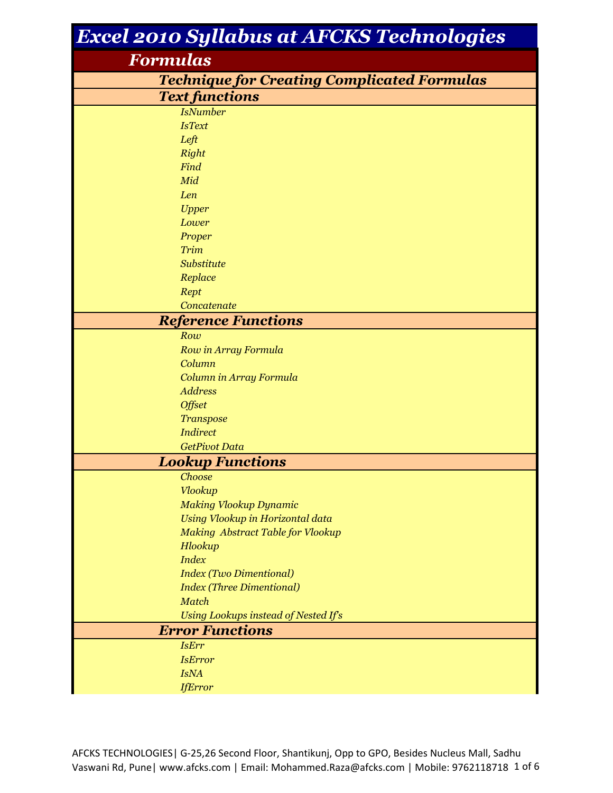| <b>Excel 2010 Syllabus at AFCKS Technologies</b>   |  |  |
|----------------------------------------------------|--|--|
| Formulas                                           |  |  |
| <b>Technique for Creating Complicated Formulas</b> |  |  |
| <b>Text functions</b>                              |  |  |
| <b>IsNumber</b>                                    |  |  |
| <b>IsText</b>                                      |  |  |
| Left                                               |  |  |
| Right                                              |  |  |
| Find                                               |  |  |
| Mid                                                |  |  |
| Len                                                |  |  |
| <b>Upper</b>                                       |  |  |
| Lower                                              |  |  |
| Proper                                             |  |  |
| Trim                                               |  |  |
| Substitute                                         |  |  |
| Replace                                            |  |  |
| Rept                                               |  |  |
| Concatenate                                        |  |  |
| <b>Reference Functions</b>                         |  |  |
| Row                                                |  |  |
| Row in Array Formula<br>Column                     |  |  |
| Column in Array Formula                            |  |  |
| <b>Address</b>                                     |  |  |
| <b>Offset</b>                                      |  |  |
| <b>Transpose</b>                                   |  |  |
| <b>Indirect</b>                                    |  |  |
| <b>GetPivot Data</b>                               |  |  |
| <b>Lookup Functions</b>                            |  |  |
| Choose                                             |  |  |
| <b>Vlookup</b>                                     |  |  |
| <b>Making Vlookup Dynamic</b>                      |  |  |
| Using Vlookup in Horizontal data                   |  |  |
| Making Abstract Table for Vlookup                  |  |  |
| Hlookup                                            |  |  |
| <b>Index</b>                                       |  |  |
| <b>Index (Two Dimentional)</b>                     |  |  |
| <b>Index (Three Dimentional)</b>                   |  |  |
| <b>Match</b>                                       |  |  |
| Using Lookups instead of Nested If's               |  |  |
| <b>Error Functions</b>                             |  |  |
| <b>IsErr</b>                                       |  |  |
| <b>IsError</b>                                     |  |  |
| <b>IsNA</b>                                        |  |  |
| <b>IfError</b>                                     |  |  |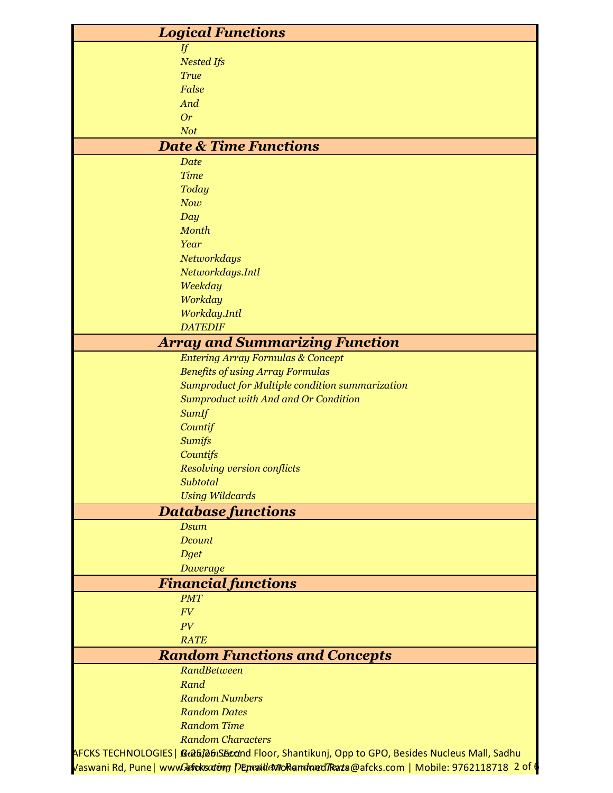| <b>Logical Functions</b>                                                                               |
|--------------------------------------------------------------------------------------------------------|
| If                                                                                                     |
| <b>Nested Ifs</b>                                                                                      |
| <b>True</b>                                                                                            |
| False                                                                                                  |
| And                                                                                                    |
| <b>Or</b>                                                                                              |
| <b>Not</b>                                                                                             |
| <b>Date &amp; Time Functions</b>                                                                       |
| <b>Date</b>                                                                                            |
| <b>Time</b>                                                                                            |
| <b>Today</b>                                                                                           |
| Now                                                                                                    |
| Day<br>Month                                                                                           |
| Year                                                                                                   |
| Networkdays                                                                                            |
| Networkdays.Intl                                                                                       |
| Weekday                                                                                                |
| Workday                                                                                                |
| Workday.Intl                                                                                           |
| <b>DATEDIF</b>                                                                                         |
| <b>Array and Summarizing Function</b>                                                                  |
| <b>Entering Array Formulas &amp; Concept</b>                                                           |
| <b>Benefits of using Array Formulas</b>                                                                |
| Sumproduct for Multiple condition summarization                                                        |
| <b>Sumproduct with And and Or Condition</b>                                                            |
| SumIf                                                                                                  |
| Countif                                                                                                |
| <b>Sumifs</b>                                                                                          |
| Countifs                                                                                               |
| <b>Resolving version conflicts</b>                                                                     |
| Subtotal                                                                                               |
| <b>Using Wildcards</b>                                                                                 |
| <b>Database functions</b>                                                                              |
| <b>Dsum</b>                                                                                            |
| Dcount                                                                                                 |
| <b>Dget</b>                                                                                            |
| Daverage                                                                                               |
| <b>Financial functions</b><br><b>PMT</b>                                                               |
| FV                                                                                                     |
| PV                                                                                                     |
| <b>RATE</b>                                                                                            |
| <b>Random Functions and Concepts</b>                                                                   |
| RandBetween                                                                                            |
| Rand                                                                                                   |
| <b>Random Numbers</b>                                                                                  |
| <b>Random Dates</b>                                                                                    |
| <b>Random Time</b>                                                                                     |
| <b>Random Characters</b>                                                                               |
| AFCKS TECHNOLOGIES  <i>ቢtaEda6iSEcct</i> nd Floor, Shantikunj, Opp to GPO, Besides Nucleus Mall, Sadhu |
| Vaswani Rd, Pune   wwwGafrukscrtong Demanidentio Ramdoned Traza@afcks.com   Mobile: 9762118718 2 of t  |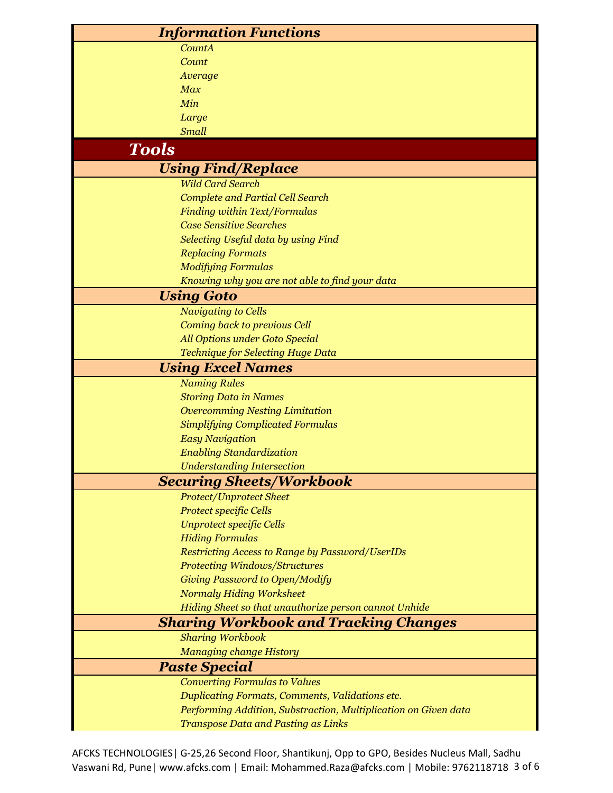|                                 | <b>Information Functions</b>                                                                                       |
|---------------------------------|--------------------------------------------------------------------------------------------------------------------|
|                                 | CountA                                                                                                             |
|                                 | Count                                                                                                              |
|                                 | Average                                                                                                            |
|                                 | Max                                                                                                                |
|                                 | Min                                                                                                                |
|                                 | Large                                                                                                              |
|                                 | <b>Small</b>                                                                                                       |
| <b>Tools</b>                    |                                                                                                                    |
|                                 | <b>Using Find/Replace</b>                                                                                          |
|                                 | <b>Wild Card Search</b>                                                                                            |
|                                 | <b>Complete and Partial Cell Search</b>                                                                            |
|                                 | <b>Finding within Text/Formulas</b>                                                                                |
|                                 | <b>Case Sensitive Searches</b>                                                                                     |
|                                 | Selecting Useful data by using Find                                                                                |
|                                 | <b>Replacing Formats</b>                                                                                           |
|                                 | <b>Modifying Formulas</b>                                                                                          |
|                                 | Knowing why you are not able to find your data                                                                     |
|                                 | <b>Using Goto</b>                                                                                                  |
|                                 | <b>Navigating to Cells</b>                                                                                         |
|                                 | Coming back to previous Cell                                                                                       |
|                                 | All Options under Goto Special                                                                                     |
|                                 | Technique for Selecting Huge Data                                                                                  |
|                                 | <b>Using Excel Names</b>                                                                                           |
|                                 | <b>Naming Rules</b>                                                                                                |
|                                 | <b>Storing Data in Names</b>                                                                                       |
|                                 | <b>Overcomming Nesting Limitation</b>                                                                              |
|                                 | <b>Simplifying Complicated Formulas</b>                                                                            |
|                                 | <b>Easy Navigation</b>                                                                                             |
|                                 | <b>Enabling Standardization</b>                                                                                    |
|                                 | <b>Understanding Intersection</b>                                                                                  |
| <b>Securing Sheets/Workbook</b> |                                                                                                                    |
|                                 | <b>Protect/Unprotect Sheet</b>                                                                                     |
|                                 | <b>Protect specific Cells</b>                                                                                      |
|                                 | <b>Unprotect specific Cells</b>                                                                                    |
|                                 | <b>Hiding Formulas</b>                                                                                             |
|                                 | <b>Restricting Access to Range by Password/UserIDs</b>                                                             |
|                                 | <b>Protecting Windows/Structures</b>                                                                               |
|                                 | Giving Password to Open/Modify                                                                                     |
|                                 | <b>Normaly Hiding Worksheet</b>                                                                                    |
|                                 | Hiding Sheet so that unauthorize person cannot Unhide                                                              |
|                                 | <b>Sharing Workbook and Tracking Changes</b>                                                                       |
|                                 | <b>Sharing Workbook</b>                                                                                            |
|                                 | <b>Managing change History</b>                                                                                     |
|                                 | <b>Paste Special</b><br><b>Converting Formulas to Values</b>                                                       |
|                                 |                                                                                                                    |
|                                 | Duplicating Formats, Comments, Validations etc.<br>Performing Addition, Substraction, Multiplication on Given data |
|                                 |                                                                                                                    |
|                                 | <b>Transpose Data and Pasting as Links</b>                                                                         |

AFCKS TECHNOLOGIES| G-25,26 Second Floor, Shantikunj, Opp to GPO, Besides Nucleus Mall, Sadhu Vaswani Rd, Pune| www.afcks.com | Email: Mohammed.Raza@afcks.com | Mobile: 9762118718 3 of 6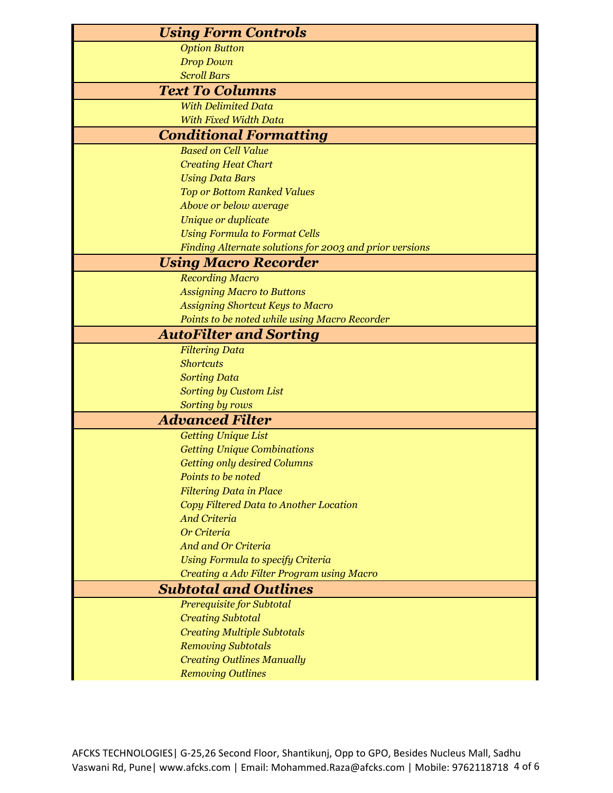| <b>Using Form Controls</b>                              |  |
|---------------------------------------------------------|--|
| <b>Option Button</b>                                    |  |
| <b>Drop Down</b>                                        |  |
| <b>Scroll Bars</b>                                      |  |
| <b>Text To Columns</b>                                  |  |
| <b>With Delimited Data</b>                              |  |
| <b>With Fixed Width Data</b>                            |  |
| <b>Conditional Formatting</b>                           |  |
| <b>Based on Cell Value</b>                              |  |
| <b>Creating Heat Chart</b>                              |  |
| <b>Using Data Bars</b>                                  |  |
| <b>Top or Bottom Ranked Values</b>                      |  |
| Above or below average                                  |  |
| Unique or duplicate                                     |  |
| <b>Using Formula to Format Cells</b>                    |  |
| Finding Alternate solutions for 2003 and prior versions |  |
| <b>Using Macro Recorder</b>                             |  |
| <b>Recording Macro</b>                                  |  |
| <b>Assigning Macro to Buttons</b>                       |  |
| <b>Assigning Shortcut Keys to Macro</b>                 |  |
| Points to be noted while using Macro Recorder           |  |
| <b>AutoFilter and Sorting</b>                           |  |
| <b>Filtering Data</b>                                   |  |
| <b>Shortcuts</b>                                        |  |
| <b>Sorting Data</b>                                     |  |
| <b>Sorting by Custom List</b>                           |  |
| Sorting by rows                                         |  |
| <b>Advanced Filter</b>                                  |  |
| <b>Getting Unique List</b>                              |  |
| <b>Getting Unique Combinations</b>                      |  |
| <b>Getting only desired Columns</b>                     |  |
| Points to be noted                                      |  |
| <b>Filtering Data in Place</b>                          |  |
| Copy Filtered Data to Another Location                  |  |
| <b>And Criteria</b>                                     |  |
| Or Criteria                                             |  |
| <b>And and Or Criteria</b>                              |  |
| Using Formula to specify Criteria                       |  |
| Creating a Adv Filter Program using Macro               |  |
| <b>Subtotal and Outlines</b>                            |  |
| Prerequisite for Subtotal                               |  |
| <b>Creating Subtotal</b>                                |  |
| <b>Creating Multiple Subtotals</b>                      |  |
| <b>Removing Subtotals</b>                               |  |
| <b>Creating Outlines Manually</b>                       |  |
| <b>Removing Outlines</b>                                |  |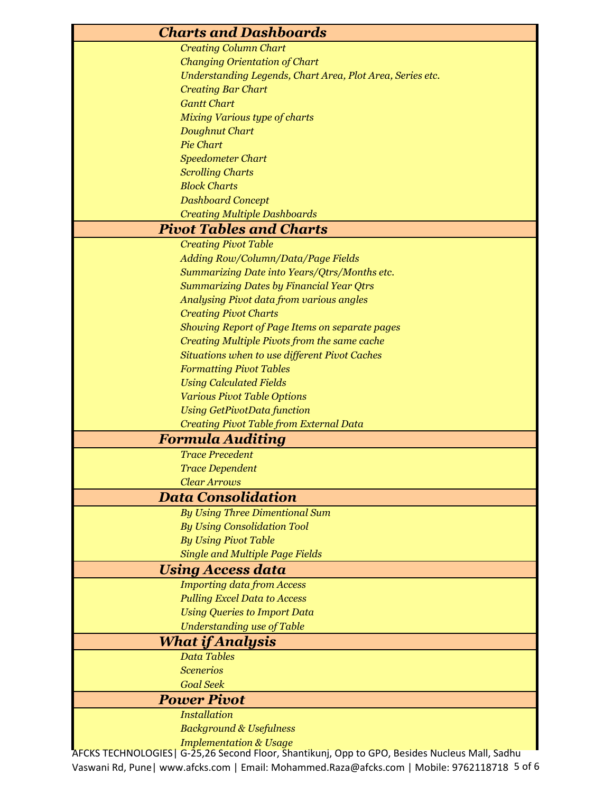| <b>Charts and Dashboards</b>                                                                   |
|------------------------------------------------------------------------------------------------|
| <b>Creating Column Chart</b>                                                                   |
| <b>Changing Orientation of Chart</b>                                                           |
| Understanding Legends, Chart Area, Plot Area, Series etc.                                      |
| <b>Creating Bar Chart</b>                                                                      |
| <b>Gantt Chart</b>                                                                             |
| <b>Mixing Various type of charts</b>                                                           |
| Doughnut Chart                                                                                 |
| <b>Pie Chart</b>                                                                               |
| <b>Speedometer Chart</b>                                                                       |
| <b>Scrolling Charts</b>                                                                        |
| <b>Block Charts</b>                                                                            |
| <b>Dashboard Concept</b>                                                                       |
| <b>Creating Multiple Dashboards</b>                                                            |
| <b>Pivot Tables and Charts</b>                                                                 |
| <b>Creating Pivot Table</b>                                                                    |
| Adding Row/Column/Data/Page Fields                                                             |
| Summarizing Date into Years/Qtrs/Months etc.                                                   |
| <b>Summarizing Dates by Financial Year Qtrs</b>                                                |
| <b>Analysing Pivot data from various angles</b>                                                |
| <b>Creating Pivot Charts</b>                                                                   |
| Showing Report of Page Items on separate pages                                                 |
| Creating Multiple Pivots from the same cache                                                   |
| Situations when to use different Pivot Caches                                                  |
| <b>Formatting Pivot Tables</b>                                                                 |
| <b>Using Calculated Fields</b>                                                                 |
| <b>Various Pivot Table Options</b>                                                             |
| <b>Using GetPivotData function</b>                                                             |
| Creating Pivot Table from External Data                                                        |
| <b>Formula Auditing</b><br><b>Trace Precedent</b>                                              |
|                                                                                                |
| <b>Trace Dependent</b><br><b>Clear Arrows</b>                                                  |
| <b>Data Consolidation</b>                                                                      |
| <b>By Using Three Dimentional Sum</b>                                                          |
| <b>By Using Consolidation Tool</b>                                                             |
| <b>By Using Pivot Table</b>                                                                    |
| <b>Single and Multiple Page Fields</b>                                                         |
| <b>Using Access data</b>                                                                       |
| <b>Importing data from Access</b>                                                              |
| <b>Pulling Excel Data to Access</b>                                                            |
| <b>Using Queries to Import Data</b>                                                            |
| <b>Understanding use of Table</b>                                                              |
| <b>What if Analysis</b>                                                                        |
| <b>Data Tables</b>                                                                             |
| <b>Scenerios</b>                                                                               |
| <b>Goal Seek</b>                                                                               |
| <b>Power Pivot</b>                                                                             |
| <b>Installation</b>                                                                            |
| <b>Background &amp; Usefulness</b>                                                             |
| <b>Implementation &amp; Usage</b>                                                              |
| AFCKS TECHNOLOGIES   G-25,26 Second Floor, Šhantikunj, Opp to GPO, Besides Nucleus Mall, Sadhu |

Vaswani Rd, Pune| www.afcks.com | Email: Mohammed.Raza@afcks.com | Mobile: 9762118718 5 of 6